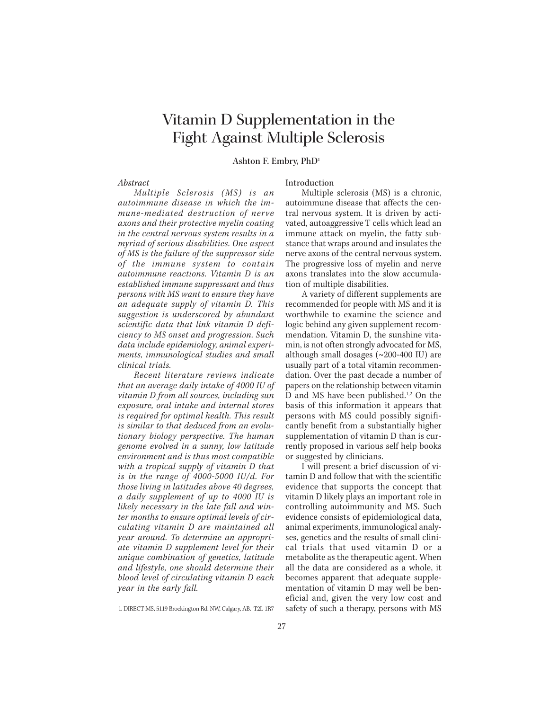# Vitamin D Supplementation in the Fight Against Multiple Sclerosis

## **Ashton F. Embry, PhD1**

## *Abstract*

*Multiple Sclerosis (MS) is an autoimmune disease in which the immune-mediated destruction of nerve axons and their protective myelin coating in the central nervous system results in a myriad of serious disabilities. One aspect of MS is the failure of the suppressor side of the immune system to contain autoimmune reactions. Vitamin D is an established immune suppressant and thus persons with MS want to ensure they have an adequate supply of vitamin D. This suggestion is underscored by abundant scientific data that link vitamin D deficiency to MS onset and progression. Such data include epidemiology, animal experiments, immunological studies and small clinical trials.*

*Recent literature reviews indicate that an average daily intake of 4000 IU of vitamin D from all sources, including sun exposure, oral intake and internal stores is required for optimal health. This result is similar to that deduced from an evolutionary biology perspective. The human genome evolved in a sunny, low latitude environment and is thus most compatible with a tropical supply of vitamin D that is in the range of 4000-5000 IU/d. For those living in latitudes above 40 degrees, a daily supplement of up to 4000 IU is likely necessary in the late fall and winter months to ensure optimal levels of circulating vitamin D are maintained all year around. To determine an appropriate vitamin D supplement level for their unique combination of genetics, latitude and lifestyle, one should determine their blood level of circulating vitamin D each year in the early fall.*

1. DIRECT-MS, 5119 Brockington Rd. NW, Calgary, AB. T2L 1R7

## Introduction

Multiple sclerosis (MS) is a chronic, autoimmune disease that affects the central nervous system. It is driven by activated, autoaggressive T cells which lead an immune attack on myelin, the fatty substance that wraps around and insulates the nerve axons of the central nervous system. The progressive loss of myelin and nerve axons translates into the slow accumulation of multiple disabilities.

A variety of different supplements are recommended for people with MS and it is worthwhile to examine the science and logic behind any given supplement recommendation. Vitamin D, the sunshine vitamin, is not often strongly advocated for MS, although small dosages (~200-400 IU) are usually part of a total vitamin recommendation. Over the past decade a number of papers on the relationship between vitamin D and MS have been published.<sup>1,2</sup> On the basis of this information it appears that persons with MS could possibly significantly benefit from a substantially higher supplementation of vitamin D than is currently proposed in various self help books or suggested by clinicians.

I will present a brief discussion of vitamin D and follow that with the scientific evidence that supports the concept that vitamin D likely plays an important role in controlling autoimmunity and MS. Such evidence consists of epidemiological data, animal experiments, immunological analyses, genetics and the results of small clinical trials that used vitamin D or a metabolite as the therapeutic agent. When all the data are considered as a whole, it becomes apparent that adequate supplementation of vitamin D may well be beneficial and, given the very low cost and safety of such a therapy, persons with MS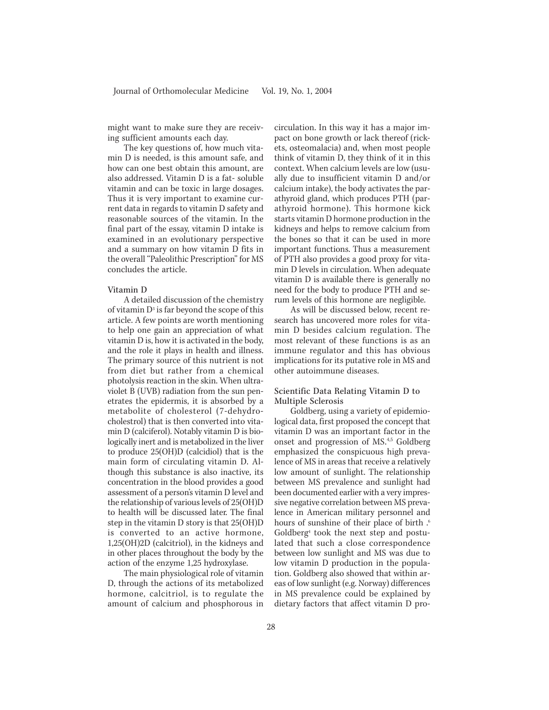might want to make sure they are receiving sufficient amounts each day.

The key questions of, how much vitamin D is needed, is this amount safe, and how can one best obtain this amount, are also addressed. Vitamin D is a fat- soluble vitamin and can be toxic in large dosages. Thus it is very important to examine current data in regards to vitamin D safety and reasonable sources of the vitamin. In the final part of the essay, vitamin D intake is examined in an evolutionary perspective and a summary on how vitamin D fits in the overall "Paleolithic Prescription" for MS concludes the article.

### Vitamin D

A detailed discussion of the chemistry of vitamin  $D^3$  is far beyond the scope of this article. A few points are worth mentioning to help one gain an appreciation of what vitamin D is, how it is activated in the body, and the role it plays in health and illness. The primary source of this nutrient is not from diet but rather from a chemical photolysis reaction in the skin. When ultraviolet B (UVB) radiation from the sun penetrates the epidermis, it is absorbed by a metabolite of cholesterol (7-dehydrocholestrol) that is then converted into vitamin D (calciferol). Notably vitamin D is biologically inert and is metabolized in the liver to produce 25(OH)D (calcidiol) that is the main form of circulating vitamin D. Although this substance is also inactive, its concentration in the blood provides a good assessment of a person's vitamin D level and the relationship of various levels of 25(OH)D to health will be discussed later. The final step in the vitamin D story is that 25(OH)D is converted to an active hormone, 1,25(OH)2D (calcitriol), in the kidneys and in other places throughout the body by the action of the enzyme 1,25 hydroxylase.

The main physiological role of vitamin D, through the actions of its metabolized hormone, calcitriol, is to regulate the amount of calcium and phosphorous in

circulation. In this way it has a major impact on bone growth or lack thereof (rickets, osteomalacia) and, when most people think of vitamin D, they think of it in this context. When calcium levels are low (usually due to insufficient vitamin D and/or calcium intake), the body activates the parathyroid gland, which produces PTH (parathyroid hormone). This hormone kick starts vitamin D hormone production in the kidneys and helps to remove calcium from the bones so that it can be used in more important functions. Thus a measurement of PTH also provides a good proxy for vitamin D levels in circulation. When adequate vitamin D is available there is generally no need for the body to produce PTH and serum levels of this hormone are negligible.

As will be discussed below, recent research has uncovered more roles for vitamin D besides calcium regulation. The most relevant of these functions is as an immune regulator and this has obvious implications for its putative role in MS and other autoimmune diseases.

## Scientific Data Relating Vitamin D to Multiple Sclerosis

Goldberg, using a variety of epidemiological data, first proposed the concept that vitamin D was an important factor in the onset and progression of MS.<sup>4,5</sup> Goldberg emphasized the conspicuous high prevalence of MS in areas that receive a relatively low amount of sunlight. The relationship between MS prevalence and sunlight had been documented earlier with a very impressive negative correlation between MS prevalence in American military personnel and hours of sunshine of their place of birth .<sup>6</sup> Goldberg4 took the next step and postulated that such a close correspondence between low sunlight and MS was due to low vitamin D production in the population. Goldberg also showed that within areas of low sunlight (e.g. Norway) differences in MS prevalence could be explained by dietary factors that affect vitamin D pro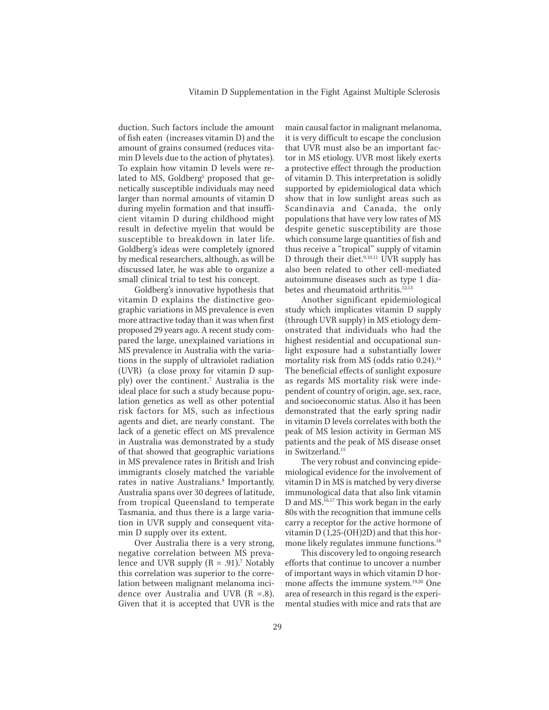duction. Such factors include the amount of fish eaten (increases vitamin D) and the amount of grains consumed (reduces vitamin D levels due to the action of phytates). To explain how vitamin D levels were related to MS, Goldberg<sup>5</sup> proposed that genetically susceptible individuals may need larger than normal amounts of vitamin D during myelin formation and that insufficient vitamin D during childhood might result in defective myelin that would be susceptible to breakdown in later life. Goldberg's ideas were completely ignored by medical researchers, although, as will be discussed later, he was able to organize a small clinical trial to test his concept.

Goldberg's innovative hypothesis that vitamin D explains the distinctive geographic variations in MS prevalence is even more attractive today than it was when first proposed 29 years ago. A recent study compared the large, unexplained variations in MS prevalence in Australia with the variations in the supply of ultraviolet radiation (UVR) (a close proxy for vitamin D supply) over the continent.7 Australia is the ideal place for such a study because population genetics as well as other potential risk factors for MS, such as infectious agents and diet, are nearly constant. The lack of a genetic effect on MS prevalence in Australia was demonstrated by a study of that showed that geographic variations in MS prevalence rates in British and Irish immigrants closely matched the variable rates in native Australians.<sup>8</sup> Importantly, Australia spans over 30 degrees of latitude, from tropical Queensland to temperate Tasmania, and thus there is a large variation in UVR supply and consequent vitamin D supply over its extent.

Over Australia there is a very strong, negative correlation between MS prevalence and UVR supply  $(R = .91).<sup>7</sup>$  Notably this correlation was superior to the correlation between malignant melanoma incidence over Australia and UVR (R =.8). Given that it is accepted that UVR is the

main causal factor in malignant melanoma, it is very difficult to escape the conclusion that UVR must also be an important factor in MS etiology. UVR most likely exerts a protective effect through the production of vitamin D. This interpretation is solidly supported by epidemiological data which show that in low sunlight areas such as Scandinavia and Canada, the only populations that have very low rates of MS despite genetic susceptibility are those which consume large quantities of fish and thus receive a "tropical" supply of vitamin D through their diet.<sup>9,10,11</sup> UVR supply has also been related to other cell-mediated autoimmune diseases such as type 1 diabetes and rheumatoid arthritis.<sup>12,13</sup>

Another significant epidemiological study which implicates vitamin D supply (through UVR supply) in MS etiology demonstrated that individuals who had the highest residential and occupational sunlight exposure had a substantially lower mortality risk from MS (odds ratio 0.24).<sup>14</sup> The beneficial effects of sunlight exposure as regards MS mortality risk were independent of country of origin, age, sex, race, and socioeconomic status. Also it has been demonstrated that the early spring nadir in vitamin D levels correlates with both the peak of MS lesion activity in German MS patients and the peak of MS disease onset in Switzerland.15

The very robust and convincing epidemiological evidence for the involvement of vitamin D in MS is matched by very diverse immunological data that also link vitamin D and MS.<sup>16,17</sup> This work began in the early 80s with the recognition that immune cells carry a receptor for the active hormone of vitamin D (1,25-(OH)2D) and that this hormone likely regulates immune functions.<sup>18</sup>

This discovery led to ongoing research efforts that continue to uncover a number of important ways in which vitamin D hormone affects the immune system.19,20 One area of research in this regard is the experimental studies with mice and rats that are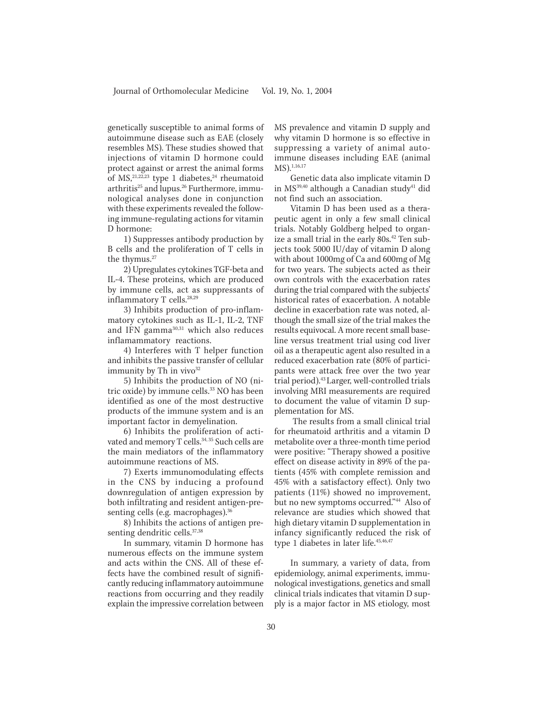genetically susceptible to animal forms of autoimmune disease such as EAE (closely resembles MS). These studies showed that injections of vitamin D hormone could protect against or arrest the animal forms of MS,  $21,22,23$  type 1 diabetes,  $24$  rheumatoid arthritis<sup>25</sup> and lupus.<sup>26</sup> Furthermore, immunological analyses done in conjunction with these experiments revealed the following immune-regulating actions for vitamin D hormone:

1) Suppresses antibody production by B cells and the proliferation of T cells in the thymus.<sup>27</sup>

2) Upregulates cytokines TGF-beta and IL-4. These proteins, which are produced by immune cells, act as suppressants of inflammatory T cells.<sup>28,29</sup>

3) Inhibits production of pro-inflammatory cytokines such as IL-1, IL-2, TNF and IFN gamma<sup>30,31</sup> which also reduces inflamammatory reactions.

4) Interferes with T helper function and inhibits the passive transfer of cellular immunity by Th in vivo $32$ 

5) Inhibits the production of NO (nitric oxide) by immune cells.<sup>33</sup> NO has been identified as one of the most destructive products of the immune system and is an important factor in demyelination.

6) Inhibits the proliferation of activated and memory T cells.<sup>34, 35</sup> Such cells are the main mediators of the inflammatory autoimmune reactions of MS.

7) Exerts immunomodulating effects in the CNS by inducing a profound downregulation of antigen expression by both infiltrating and resident antigen-presenting cells (e.g. macrophages).<sup>36</sup>

8) Inhibits the actions of antigen presenting dendritic cells.<sup>37,38</sup>

In summary, vitamin D hormone has numerous effects on the immune system and acts within the CNS. All of these effects have the combined result of significantly reducing inflammatory autoimmune reactions from occurring and they readily explain the impressive correlation between MS prevalence and vitamin D supply and why vitamin D hormone is so effective in suppressing a variety of animal autoimmune diseases including EAE (animal MS).<sup>1,16,17</sup>

Genetic data also implicate vitamin D in MS<sup>39,40</sup> although a Canadian study<sup>41</sup> did not find such an association.

Vitamin D has been used as a therapeutic agent in only a few small clinical trials. Notably Goldberg helped to organize a small trial in the early 80s.<sup>42</sup> Ten subjects took 5000 IU/day of vitamin D along with about 1000mg of Ca and 600mg of Mg for two years. The subjects acted as their own controls with the exacerbation rates during the trial compared with the subjects' historical rates of exacerbation. A notable decline in exacerbation rate was noted, although the small size of the trial makes the results equivocal. A more recent small baseline versus treatment trial using cod liver oil as a therapeutic agent also resulted in a reduced exacerbation rate (80% of participants were attack free over the two year trial period).43Larger, well-controlled trials involving MRI measurements are required to document the value of vitamin D supplementation for MS.

 The results from a small clinical trial for rheumatoid arthritis and a vitamin D metabolite over a three-month time period were positive: "Therapy showed a positive effect on disease activity in 89% of the patients (45% with complete remission and 45% with a satisfactory effect). Only two patients (11%) showed no improvement, but no new symptoms occurred."44 Also of relevance are studies which showed that high dietary vitamin D supplementation in infancy significantly reduced the risk of type 1 diabetes in later life.<sup>45,46,47</sup>

In summary, a variety of data, from epidemiology, animal experiments, immunological investigations, genetics and small clinical trials indicates that vitamin D supply is a major factor in MS etiology, most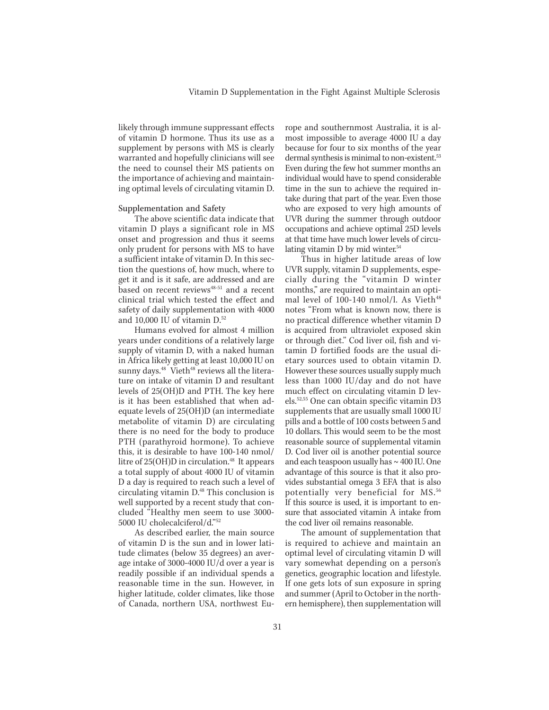likely through immune suppressant effects of vitamin D hormone. Thus its use as a supplement by persons with MS is clearly warranted and hopefully clinicians will see the need to counsel their MS patients on the importance of achieving and maintaining optimal levels of circulating vitamin D.

#### Supplementation and Safety

The above scientific data indicate that vitamin D plays a significant role in MS onset and progression and thus it seems only prudent for persons with MS to have a sufficient intake of vitamin D. In this section the questions of, how much, where to get it and is it safe, are addressed and are based on recent reviews<sup>48-51</sup> and a recent clinical trial which tested the effect and safety of daily supplementation with 4000 and  $10,000$  IU of vitamin  $D<sub>52</sub>$ 

Humans evolved for almost 4 million years under conditions of a relatively large supply of vitamin D, with a naked human in Africa likely getting at least 10,000 IU on sunny days.<sup>48</sup> Vieth<sup>48</sup> reviews all the literature on intake of vitamin D and resultant levels of 25(OH)D and PTH. The key here is it has been established that when adequate levels of 25(OH)D (an intermediate metabolite of vitamin D) are circulating there is no need for the body to produce PTH (parathyroid hormone). To achieve this, it is desirable to have 100-140 nmol/ litre of  $25(OH)D$  in circulation.<sup>48</sup> It appears a total supply of about 4000 IU of vitamin D a day is required to reach such a level of circulating vitamin D.48 This conclusion is well supported by a recent study that concluded "Healthy men seem to use 3000- 5000 IU cholecalciferol/d."52

As described earlier, the main source of vitamin D is the sun and in lower latitude climates (below 35 degrees) an average intake of 3000-4000 IU/d over a year is readily possible if an individual spends a reasonable time in the sun. However, in higher latitude, colder climates, like those of Canada, northern USA, northwest Eu-

rope and southernmost Australia, it is almost impossible to average 4000 IU a day because for four to six months of the year dermal synthesis is minimal to non-existent.<sup>53</sup> Even during the few hot summer months an individual would have to spend considerable time in the sun to achieve the required intake during that part of the year. Even those who are exposed to very high amounts of UVR during the summer through outdoor occupations and achieve optimal 25D levels at that time have much lower levels of circulating vitamin D by mid winter.<sup>54</sup>

Thus in higher latitude areas of low UVR supply, vitamin D supplements, especially during the "vitamin D winter months," are required to maintain an optimal level of 100-140 nmol/l. As Vieth<sup>48</sup> notes "From what is known now, there is no practical difference whether vitamin D is acquired from ultraviolet exposed skin or through diet." Cod liver oil, fish and vitamin D fortified foods are the usual dietary sources used to obtain vitamin D. However these sources usually supply much less than 1000 IU/day and do not have much effect on circulating vitamin D levels.52,55 One can obtain specific vitamin D3 supplements that are usually small 1000 IU pills and a bottle of 100 costs between 5 and 10 dollars. This would seem to be the most reasonable source of supplemental vitamin D. Cod liver oil is another potential source and each teaspoon usually has ~ 400 IU. One advantage of this source is that it also provides substantial omega 3 EFA that is also potentially very beneficial for MS.<sup>56</sup> If this source is used, it is important to ensure that associated vitamin A intake from the cod liver oil remains reasonable.

The amount of supplementation that is required to achieve and maintain an optimal level of circulating vitamin D will vary somewhat depending on a person's genetics, geographic location and lifestyle. If one gets lots of sun exposure in spring and summer (April to October in the northern hemisphere), then supplementation will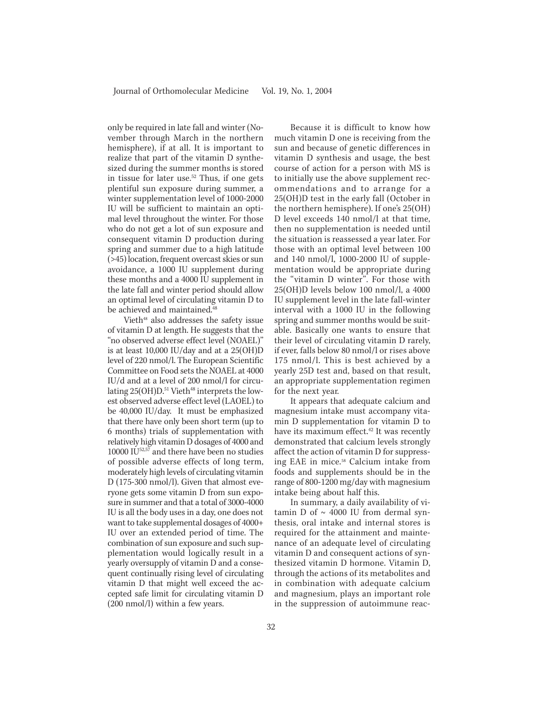only be required in late fall and winter (November through March in the northern hemisphere), if at all. It is important to realize that part of the vitamin D synthesized during the summer months is stored in tissue for later use.52 Thus, if one gets plentiful sun exposure during summer, a winter supplementation level of 1000-2000 IU will be sufficient to maintain an optimal level throughout the winter. For those who do not get a lot of sun exposure and consequent vitamin D production during spring and summer due to a high latitude (>45) location, frequent overcast skies or sun avoidance, a 1000 IU supplement during these months and a 4000 IU supplement in the late fall and winter period should allow an optimal level of circulating vitamin D to be achieved and maintained.<sup>48</sup>

Vieth<sup>48</sup> also addresses the safety issue of vitamin D at length. He suggests that the "no observed adverse effect level (NOAEL)" is at least 10,000 IU/day and at a 25(OH)D level of 220 nmol/l. The European Scientific Committee on Food sets the NOAEL at 4000 IU/d and at a level of 200 nmol/l for circulating 25(OH)D.<sup>51</sup> Vieth<sup>48</sup> interprets the lowest observed adverse effect level (LAOEL) to be 40,000 IU/day. It must be emphasized that there have only been short term (up to 6 months) trials of supplementation with relatively high vitamin D dosages of 4000 and 10000 IU52,57 and there have been no studies of possible adverse effects of long term, moderately high levels of circulating vitamin D (175-300 nmol/l). Given that almost everyone gets some vitamin D from sun exposure in summer and that a total of 3000-4000 IU is all the body uses in a day, one does not want to take supplemental dosages of 4000+ IU over an extended period of time. The combination of sun exposure and such supplementation would logically result in a yearly oversupply of vitamin D and a consequent continually rising level of circulating vitamin D that might well exceed the accepted safe limit for circulating vitamin D (200 nmol/l) within a few years.

Because it is difficult to know how much vitamin D one is receiving from the sun and because of genetic differences in vitamin D synthesis and usage, the best course of action for a person with MS is to initially use the above supplement recommendations and to arrange for a 25(OH)D test in the early fall (October in the northern hemisphere). If one's 25(OH) D level exceeds 140 nmol/l at that time, then no supplementation is needed until the situation is reassessed a year later. For those with an optimal level between 100 and 140 nmol/l, 1000-2000 IU of supplementation would be appropriate during the "vitamin D winter". For those with 25(OH)D levels below 100 nmol/l, a 4000 IU supplement level in the late fall-winter interval with a 1000 IU in the following spring and summer months would be suitable. Basically one wants to ensure that their level of circulating vitamin D rarely, if ever, falls below 80 nmol/l or rises above 175 nmol/l. This is best achieved by a yearly 25D test and, based on that result, an appropriate supplementation regimen for the next year.

It appears that adequate calcium and magnesium intake must accompany vitamin D supplementation for vitamin D to have its maximum effect.<sup>42</sup> It was recently demonstrated that calcium levels strongly affect the action of vitamin D for suppressing EAE in mice.58 Calcium intake from foods and supplements should be in the range of 800-1200 mg/day with magnesium intake being about half this.

In summary, a daily availability of vitamin D of  $\sim$  4000 IU from dermal synthesis, oral intake and internal stores is required for the attainment and maintenance of an adequate level of circulating vitamin D and consequent actions of synthesized vitamin D hormone. Vitamin D, through the actions of its metabolites and in combination with adequate calcium and magnesium, plays an important role in the suppression of autoimmune reac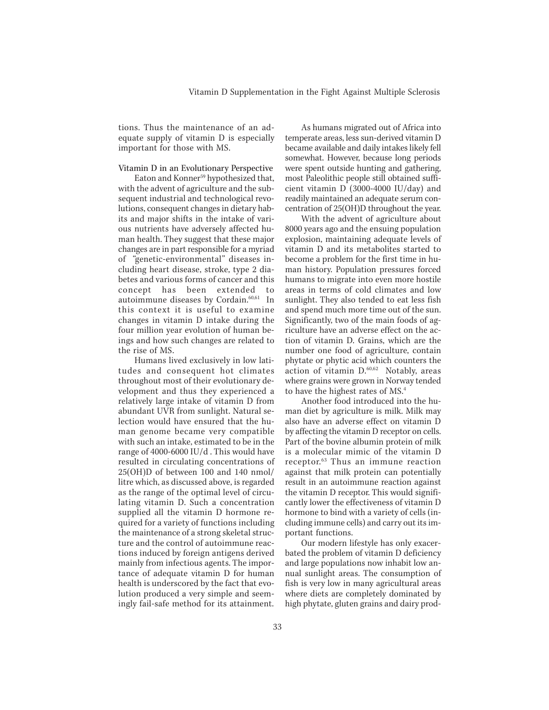tions. Thus the maintenance of an adequate supply of vitamin D is especially important for those with MS.

Vitamin D in an Evolutionary Perspective

Eaton and Konner<sup>59</sup> hypothesized that, with the advent of agriculture and the subsequent industrial and technological revolutions, consequent changes in dietary habits and major shifts in the intake of various nutrients have adversely affected human health. They suggest that these major changes are in part responsible for a myriad of "genetic-environmental" diseases including heart disease, stroke, type 2 diabetes and various forms of cancer and this concept has been extended to autoimmune diseases by Cordain.60,61 In this context it is useful to examine changes in vitamin D intake during the four million year evolution of human beings and how such changes are related to the rise of MS.

Humans lived exclusively in low latitudes and consequent hot climates throughout most of their evolutionary development and thus they experienced a relatively large intake of vitamin D from abundant UVR from sunlight. Natural selection would have ensured that the human genome became very compatible with such an intake, estimated to be in the range of 4000-6000 IU/d . This would have resulted in circulating concentrations of 25(OH)D of between 100 and 140 nmol/ litre which, as discussed above, is regarded as the range of the optimal level of circulating vitamin D. Such a concentration supplied all the vitamin D hormone required for a variety of functions including the maintenance of a strong skeletal structure and the control of autoimmune reactions induced by foreign antigens derived mainly from infectious agents. The importance of adequate vitamin D for human health is underscored by the fact that evolution produced a very simple and seemingly fail-safe method for its attainment.

As humans migrated out of Africa into temperate areas, less sun-derived vitamin D became available and daily intakes likely fell somewhat. However, because long periods were spent outside hunting and gathering, most Paleolithic people still obtained sufficient vitamin  $\overline{D}$  (3000-4000 IU/day) and readily maintained an adequate serum concentration of 25(OH)D throughout the year.

With the advent of agriculture about 8000 years ago and the ensuing population explosion, maintaining adequate levels of vitamin D and its metabolites started to become a problem for the first time in human history. Population pressures forced humans to migrate into even more hostile areas in terms of cold climates and low sunlight. They also tended to eat less fish and spend much more time out of the sun. Significantly, two of the main foods of agriculture have an adverse effect on the action of vitamin D. Grains, which are the number one food of agriculture, contain phytate or phytic acid which counters the action of vitamin D.60,62 Notably, areas where grains were grown in Norway tended to have the highest rates of MS.<sup>4</sup>

Another food introduced into the human diet by agriculture is milk. Milk may also have an adverse effect on vitamin D by affecting the vitamin D receptor on cells. Part of the bovine albumin protein of milk is a molecular mimic of the vitamin D receptor.63 Thus an immune reaction against that milk protein can potentially result in an autoimmune reaction against the vitamin D receptor. This would significantly lower the effectiveness of vitamin D hormone to bind with a variety of cells (including immune cells) and carry out its important functions.

Our modern lifestyle has only exacerbated the problem of vitamin D deficiency and large populations now inhabit low annual sunlight areas. The consumption of fish is very low in many agricultural areas where diets are completely dominated by high phytate, gluten grains and dairy prod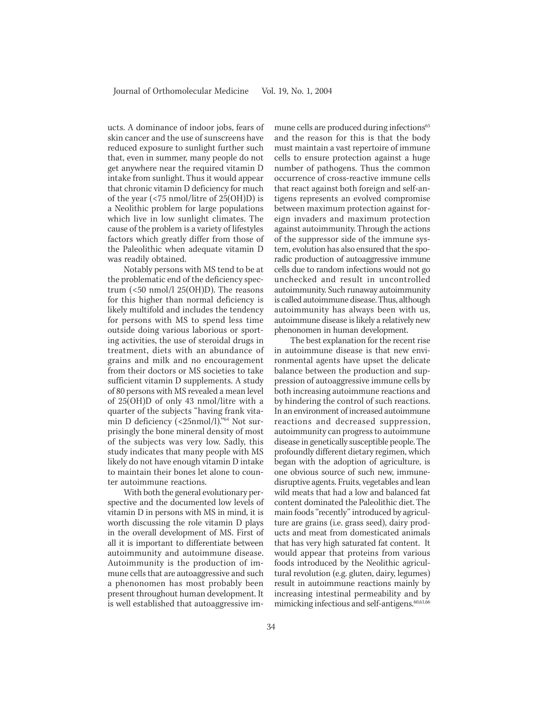ucts. A dominance of indoor jobs, fears of skin cancer and the use of sunscreens have reduced exposure to sunlight further such that, even in summer, many people do not get anywhere near the required vitamin D intake from sunlight. Thus it would appear that chronic vitamin D deficiency for much of the year (<75 nmol/litre of 25(OH)D) is a Neolithic problem for large populations which live in low sunlight climates. The cause of the problem is a variety of lifestyles factors which greatly differ from those of the Paleolithic when adequate vitamin D was readily obtained.

Notably persons with MS tend to be at the problematic end of the deficiency spectrum  $\left($  <50 nmol/l 25(OH)D). The reasons for this higher than normal deficiency is likely multifold and includes the tendency for persons with MS to spend less time outside doing various laborious or sporting activities, the use of steroidal drugs in treatment, diets with an abundance of grains and milk and no encouragement from their doctors or MS societies to take sufficient vitamin D supplements. A study of 80 persons with MS revealed a mean level of 25(OH)D of only 43 nmol/litre with a quarter of the subjects "having frank vitamin D deficiency (<25nmol/l)."<sup>64</sup> Not surprisingly the bone mineral density of most of the subjects was very low. Sadly, this study indicates that many people with MS likely do not have enough vitamin D intake to maintain their bones let alone to counter autoimmune reactions.

With both the general evolutionary perspective and the documented low levels of vitamin D in persons with MS in mind, it is worth discussing the role vitamin D plays in the overall development of MS. First of all it is important to differentiate between autoimmunity and autoimmune disease. Autoimmunity is the production of immune cells that are autoaggressive and such a phenonomen has most probably been present throughout human development. It is well established that autoaggressive im-

mune cells are produced during infections<sup>65</sup> and the reason for this is that the body must maintain a vast repertoire of immune cells to ensure protection against a huge number of pathogens. Thus the common occurrence of cross-reactive immune cells that react against both foreign and self-antigens represents an evolved compromise between maximum protection against foreign invaders and maximum protection against autoimmunity. Through the actions of the suppressor side of the immune system, evolution has also ensured that the sporadic production of autoaggressive immune cells due to random infections would not go unchecked and result in uncontrolled autoimmunity. Such runaway autoimmunity is called autoimmune disease. Thus, although autoimmunity has always been with us, autoimmune disease is likely a relatively new phenonomen in human development.

The best explanation for the recent rise in autoimmune disease is that new environmental agents have upset the delicate balance between the production and suppression of autoaggressive immune cells by both increasing autoimmune reactions and by hindering the control of such reactions. In an environment of increased autoimmune reactions and decreased suppression, autoimmunity can progress to autoimmune disease in genetically susceptible people. The profoundly different dietary regimen, which began with the adoption of agriculture, is one obvious source of such new, immunedisruptive agents. Fruits, vegetables and lean wild meats that had a low and balanced fat content dominated the Paleolithic diet. The main foods "recently" introduced by agriculture are grains (i.e. grass seed), dairy products and meat from domesticated animals that has very high saturated fat content. It would appear that proteins from various foods introduced by the Neolithic agricultural revolution (e.g. gluten, dairy, legumes) result in autoimmune reactions mainly by increasing intestinal permeability and by mimicking infectious and self-antigens.<sup>60,61,66</sup>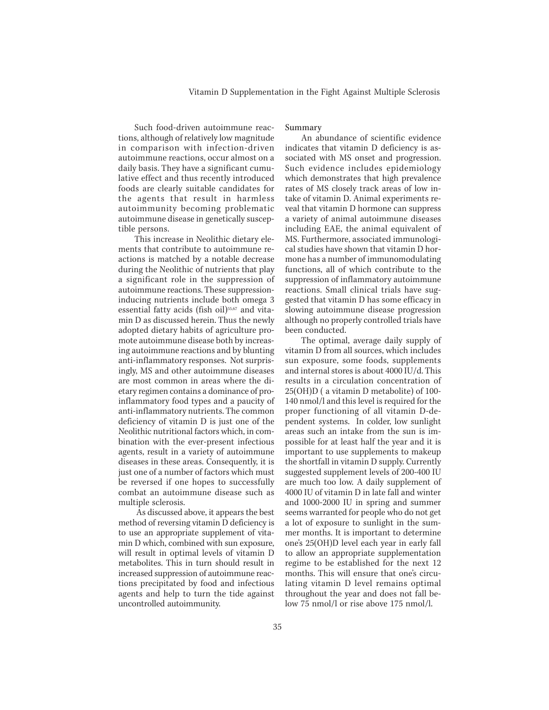Such food-driven autoimmune reactions, although of relatively low magnitude in comparison with infection-driven autoimmune reactions, occur almost on a daily basis. They have a significant cumulative effect and thus recently introduced foods are clearly suitable candidates for the agents that result in harmless autoimmunity becoming problematic autoimmune disease in genetically susceptible persons.

This increase in Neolithic dietary elements that contribute to autoimmune reactions is matched by a notable decrease during the Neolithic of nutrients that play a significant role in the suppression of autoimmune reactions. These suppressioninducing nutrients include both omega 3 essential fatty acids (fish oil)<sup>55,67</sup> and vitamin D as discussed herein. Thus the newly adopted dietary habits of agriculture promote autoimmune disease both by increasing autoimmune reactions and by blunting anti-inflammatory responses. Not surprisingly, MS and other autoimmune diseases are most common in areas where the dietary regimen contains a dominance of proinflammatory food types and a paucity of anti-inflammatory nutrients. The common deficiency of vitamin D is just one of the Neolithic nutritional factors which, in combination with the ever-present infectious agents, result in a variety of autoimmune diseases in these areas. Consequently, it is just one of a number of factors which must be reversed if one hopes to successfully combat an autoimmune disease such as multiple sclerosis.

 As discussed above, it appears the best method of reversing vitamin D deficiency is to use an appropriate supplement of vitamin D which, combined with sun exposure, will result in optimal levels of vitamin D metabolites. This in turn should result in increased suppression of autoimmune reactions precipitated by food and infectious agents and help to turn the tide against uncontrolled autoimmunity.

## Summary

An abundance of scientific evidence indicates that vitamin D deficiency is associated with MS onset and progression. Such evidence includes epidemiology which demonstrates that high prevalence rates of MS closely track areas of low intake of vitamin D. Animal experiments reveal that vitamin D hormone can suppress a variety of animal autoimmune diseases including EAE, the animal equivalent of MS. Furthermore, associated immunological studies have shown that vitamin D hormone has a number of immunomodulating functions, all of which contribute to the suppression of inflammatory autoimmune reactions. Small clinical trials have suggested that vitamin D has some efficacy in slowing autoimmune disease progression although no properly controlled trials have been conducted.

The optimal, average daily supply of vitamin D from all sources, which includes sun exposure, some foods, supplements and internal stores is about 4000 IU/d. This results in a circulation concentration of 25(OH)D ( a vitamin D metabolite) of 100- 140 nmol/l and this level is required for the proper functioning of all vitamin D-dependent systems. In colder, low sunlight areas such an intake from the sun is impossible for at least half the year and it is important to use supplements to makeup the shortfall in vitamin D supply. Currently suggested supplement levels of 200-400 IU are much too low. A daily supplement of 4000 IU of vitamin D in late fall and winter and 1000-2000 IU in spring and summer seems warranted for people who do not get a lot of exposure to sunlight in the summer months. It is important to determine one's 25(OH)D level each year in early fall to allow an appropriate supplementation regime to be established for the next 12 months. This will ensure that one's circulating vitamin D level remains optimal throughout the year and does not fall below 75 nmol/l or rise above 175 nmol/l.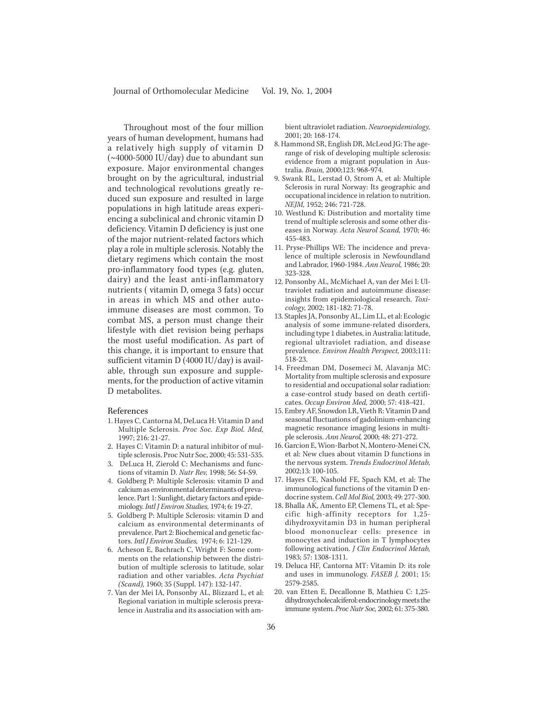Throughout most of the four million years of human development, humans had a relatively high supply of vitamin D (~4000-5000 IU/day) due to abundant sun exposure. Major environmental changes brought on by the agricultural, industrial and technological revolutions greatly reduced sun exposure and resulted in large populations in high latitude areas experiencing a subclinical and chronic vitamin D deficiency. Vitamin D deficiency is just one of the major nutrient-related factors which play a role in multiple sclerosis. Notably the dietary regimens which contain the most pro-inflammatory food types (e.g. gluten, dairy) and the least anti-inflammatory nutrients ( vitamin D, omega 3 fats) occur in areas in which MS and other autoimmune diseases are most common. To combat MS, a person must change their lifestyle with diet revision being perhaps the most useful modification. As part of this change, it is important to ensure that sufficient vitamin D (4000 IU/day) is available, through sun exposure and supplements, for the production of active vitamin D metabolites.

#### References

- 1. Hayes C, Cantorna M, DeLuca H: Vitamin D and Multiple Sclerosis. *Proc Soc. Exp Biol. Med,* 1997; 216: 21-27.
- 2. Hayes C: Vitamin D: a natural inhibitor of multiple sclerosis. Proc Nutr Soc, 2000; 45: 531-535.
- 3. DeLuca H, Zierold C: Mechanisms and functions of vitamin D. *Nutr Rev,* 1998; 56: S4-S9.
- 4. Goldberg P: Multiple Sclerosis: vitamin D and calcium as environmental determinants of prevalence. Part 1: Sunlight, dietary factors and epidemiology. *Intl J Environ Studies,* 1974; 6: 19-27.
- 5. Goldberg P: Multiple Sclerosis: vitamin D and calcium as environmental determinants of prevalence. Part 2: Biochemical and genetic factors. *Intl J Environ Studies,* 1974; 6: 121-129.
- 6. Acheson E, Bachrach C, Wright F: Some comments on the relationship between the distribution of multiple sclerosis to latitude, solar radiation and other variables. *Acta Psychiat (Scand),* 1960; 35 (Suppl. 147): 132-147.
- 7. Van der Mei IA, Ponsonby AL, Blizzard L, et al: Regional variation in multiple sclerosis prevalence in Australia and its association with am-

bient ultraviolet radiation. *Neuroepidemiology,* 2001; 20: 168-174.

- 8. Hammond SR, English DR, McLeod JG: The agerange of risk of developing multiple sclerosis: evidence from a migrant population in Australia. *Brain,* 2000;123: 968-974.
- 9. Swank RL, Lerstad O, Strom A, et al: Multiple Sclerosis in rural Norway: Its geographic and occupational incidence in relation to nutrition. *NEJM,* 1952; 246: 721-728.
- 10. Westlund K: Distribution and mortality time trend of multiple sclerosis and some other diseases in Norway. *Acta Neurol Scand,* 1970; 46: 455-483.
- 11. Pryse-Phillips WE: The incidence and prevalence of multiple sclerosis in Newfoundland and Labrador, 1960-1984. *Ann Neurol,* 1986; 20: 323-328.
- 12. Ponsonby AL, McMichael A, van der Mei I: Ultraviolet radiation and autoimmune disease: insights from epidemiological research. *Toxicology,* 2002; 181-182: 71-78.
- 13. Staples JA, Ponsonby AL, Lim LL, et al: Ecologic analysis of some immune-related disorders, including type 1 diabetes, in Australia: latitude, regional ultraviolet radiation, and disease prevalence. *Environ Health Perspect,* 2003;111: 518-23.
- 14. Freedman DM, Dosemeci M, Alavanja MC: Mortality from multiple sclerosis and exposure to residential and occupational solar radiation: a case-control study based on death certificates. *Occup Environ Med,* 2000; 57: 418-421.
- 15. Embry AF, Snowdon LR, Vieth R: Vitamin D and seasonal fluctuations of gadolinium-enhancing magnetic resonance imaging lesions in multiple sclerosis. *Ann Neurol,* 2000; 48: 271-272.
- 16. Garcion E, Wion-Barbot N, Montero-Menei CN, et al: New clues about vitamin D functions in the nervous system. *Trends Endocrinol Metab,* 2002;13: 100-105.
- 17. Hayes CE, Nashold FE, Spach KM, et al: The immunological functions of the vitamin D endocrine system. *Cell Mol Biol,* 2003; 49: 277-300.
- 18. Bhalla AK, Amento EP, Clemens TL, et al: Specific high-affinity receptors for 1,25 dihydroxyvitamin D3 in human peripheral blood mononuclear cells: presence in monocytes and induction in T lymphocytes following activation. *J Clin Endocrinol Metab,* 1983; 57: 1308-1311.
- 19. Deluca HF, Cantorna MT: Vitamin D: its role and uses in immunology. *FASEB J,* 2001; 15: 2579-2585.
- 20. van Etten E, Decallonne B, Mathieu C: 1,25 dihydroxycholecalciferol: endocrinology meets the immune system. *Proc Nutr Soc,* 2002; 61: 375-380.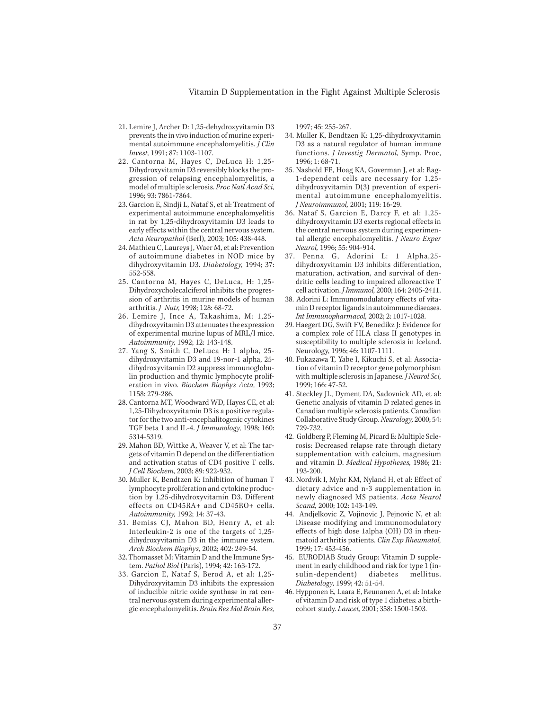- 21. Lemire J, Archer D: 1,25-dehydroxyvitamin D3 prevents the in vivo induction of murine experimental autoimmune encephalomyelitis. *J Clin Invest,* 1991; 87: 1103-1107.
- 22. Cantorna M, Hayes C, DeLuca H: 1,25- Dihydroxyvitamin D3 reversibly blocks the progression of relapsing encephalomyelitis, a model of multiple sclerosis. *Proc Natl Acad Sci,* 1996; 93: 7861-7864.
- 23. Garcion E, Sindji L, Nataf S, et al: Treatment of experimental autoimmune encephalomyelitis in rat by 1,25-dihydroxyvitamin D3 leads to early effects within the central nervous system. *Acta Neuropathol* (Berl), 2003; 105: 438-448.
- 24. Mathieu C, Laureys J, Waer M, et al: Prevention of autoimmune diabetes in NOD mice by dihydroxyvitamin D3. *Diabetology,* 1994; 37: 552-558.
- 25. Cantorna M, Hayes C, DeLuca, H: 1,25- Dihydroxycholecalciferol inhibits the progression of arthritis in murine models of human arthritis. *J Nutr,* 1998; 128: 68-72.
- 26. Lemire J, Ince A, Takashima, M: 1,25 dihydroxyvitamin D3 attenuates the expression of experimental murine lupus of MRL/l mice. *Autoimmunity,* 1992; 12: 143-148.
- 27. Yang S, Smith C, DeLuca H: 1 alpha, 25 dihydroxyvitamin D3 and 19-nor-1 alpha, 25 dihydroxyvitamin D2 suppress immunoglobulin production and thymic lymphocyte proliferation in vivo. *Biochem Biophys Acta,* 1993; 1158: 279-286.
- 28. Cantorna MT, Woodward WD, Hayes CE, et al: 1,25-Dihydroxyvitamin D3 is a positive regulator for the two anti-encephalitogenic cytokines TGF beta 1 and IL-4. *J Immunology,* 1998; 160: 5314-5319.
- 29. Mahon BD, Wittke A, Weaver V, et al: The targets of vitamin D depend on the differentiation and activation status of CD4 positive T cells. *J Cell Biochem,* 2003; 89: 922-932.
- 30. Muller K, Bendtzen K: Inhibition of human T lymphocyte proliferation and cytokine production by 1,25-dihydroxyvitamin D3. Different effects on CD45RA+ and CD45RO+ cells. *Autoimmunity,* 1992; 14: 37-43.
- 31. Bemiss CJ, Mahon BD, Henry A, et al: Interleukin-2 is one of the targets of 1,25 dihydroxyvitamin D3 in the immune system. *Arch Biochem Biophys,* 2002; 402: 249-54.
- 32. Thomasset M: Vitamin D and the Immune System. *Pathol Biol* (Paris), 1994; 42: 163-172.
- 33. Garcion E, Nataf S, Berod A, et al: 1,25- Dihydroxyvitamin D3 inhibits the expression of inducible nitric oxide synthase in rat central nervous system during experimental allergic encephalomyelitis. *Brain Res Mol Brain Res,*

1997; 45: 255-267.

- 34. Muller K, Bendtzen K: 1,25-dihydroxyvitamin D3 as a natural regulator of human immune functions. *J Investig Dermatol,* Symp. Proc, 1996; 1: 68-71.
- 35. Nashold FE, Hoag KA, Goverman J, et al: Rag-1-dependent cells are necessary for 1,25 dihydroxyvitamin D(3) prevention of experimental autoimmune encephalomyelitis. *J Neuroimmunol,* 2001; 119: 16-29.
- 36. Nataf S, Garcion E, Darcy F, et al: 1,25 dihydroxyvitamin D3 exerts regional effects in the central nervous system during experimental allergic encephalomyelitis. *J Neuro Exper Neurol,* 1996; 55: 904-914.
- 37. Penna G, Adorini L: 1 Alpha,25 dihydroxyvitamin D3 inhibits differentiation, maturation, activation, and survival of dendritic cells leading to impaired alloreactive T cell activation. *J Immunol,* 2000; 164: 2405-2411.
- 38. Adorini L: Immunomodulatory effects of vitamin D receptor ligands in autoimmune diseases. *Int Immunopharmacol,* 2002; 2: 1017-1028.
- 39. Haegert DG, Swift FV, Benedikz J: Evidence for a complex role of HLA class II genotypes in susceptibility to multiple sclerosis in Iceland. Neurology, 1996; 46: 1107-1111.
- 40. Fukazawa T, Yabe I, Kikuchi S, et al: Association of vitamin D receptor gene polymorphism with multiple sclerosis in Japanese. *J Neurol Sci,* 1999; 166: 47-52.
- 41. Steckley JL, Dyment DA, Sadovnick AD, et al: Genetic analysis of vitamin D related genes in Canadian multiple sclerosis patients. Canadian Collaborative Study Group. *Neurology,* 2000; 54: 729-732.
- 42. Goldberg P, Fleming M, Picard E: Multiple Sclerosis: Decreased relapse rate through dietary supplementation with calcium, magnesium and vitamin D. *Medical Hypotheses,* 1986; 21: 193-200.
- 43. Nordvik I, Myhr KM, Nyland H, et al: Effect of dietary advice and n-3 supplementation in newly diagnosed MS patients. *Acta Neurol Scand,* 2000; 102: 143-149.
- 44. Andjelkovic Z, Vojinovic J, Pejnovic N, et al: Disease modifying and immunomodulatory effects of high dose 1alpha (OH) D3 in rheumatoid arthritis patients. *Clin Exp Rheumatol,* 1999; 17: 453-456.
- 45. EURODIAB Study Group: Vitamin D supplement in early childhood and risk for type 1 (insulin-dependent) diabetes mellitus. *Diabetology,* 1999; 42: 51-54.
- 46. Hypponen E, Laara E, Reunanen A, et al: Intake of vitamin D and risk of type 1 diabetes: a birthcohort study. *Lancet,* 2001; 358: 1500-1503.